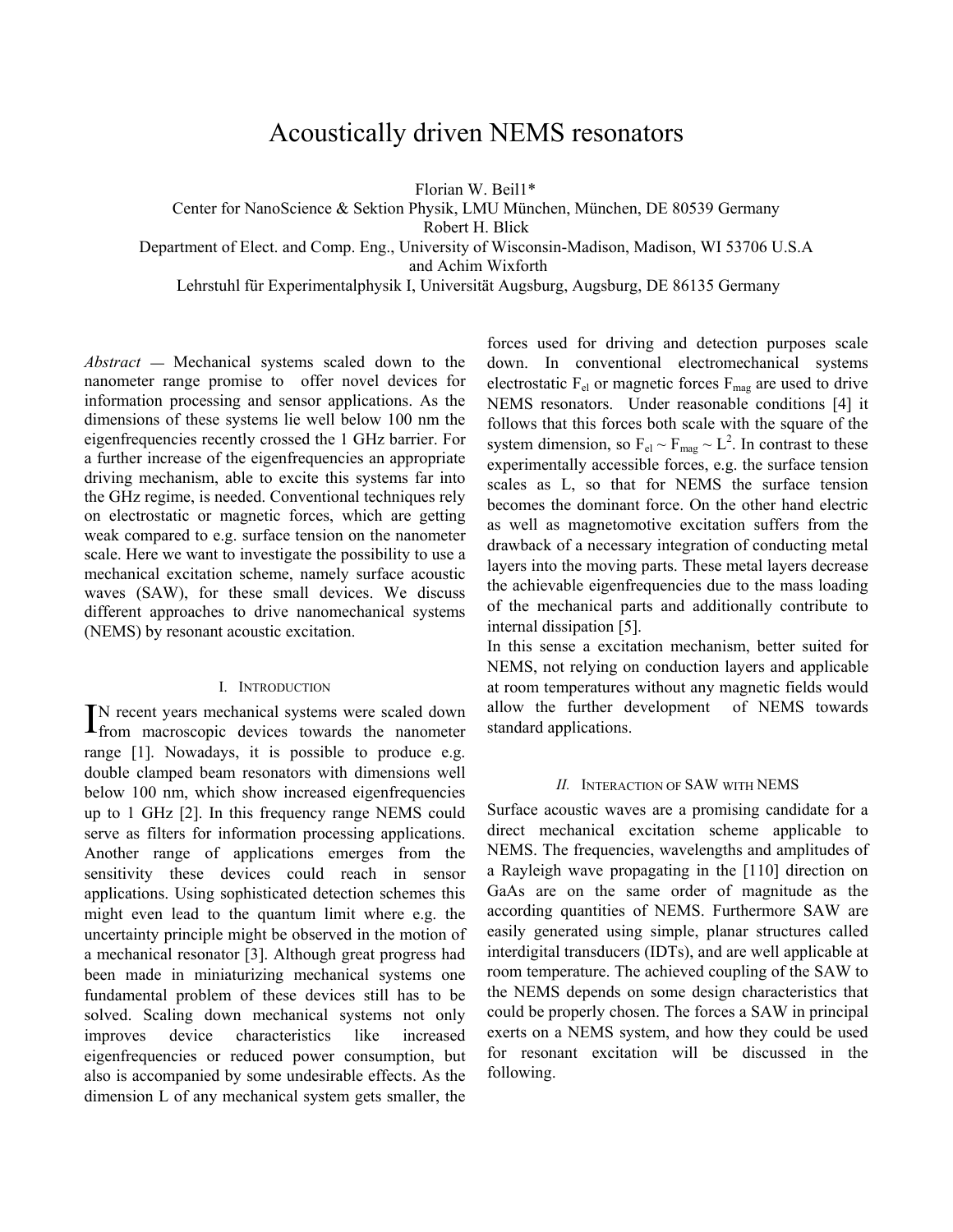# Acoustically driven NEMS resonators

Florian W. Beil1\*

Center for NanoScience & Sektion Physik, LMU München, München, DE 80539 Germany

Robert H. Blick

Department of Elect. and Comp. Eng., University of Wisconsin-Madison, Madison, WI 53706 U.S.A

and Achim Wixforth

Lehrstuhl für Experimentalphysik I, Universität Augsburg, Augsburg, DE 86135 Germany

*Abstract* **—** Mechanical systems scaled down to the nanometer range promise to offer novel devices for information processing and sensor applications. As the dimensions of these systems lie well below 100 nm the eigenfrequencies recently crossed the 1 GHz barrier. For a further increase of the eigenfrequencies an appropriate driving mechanism, able to excite this systems far into the GHz regime, is needed. Conventional techniques rely on electrostatic or magnetic forces, which are getting weak compared to e.g. surface tension on the nanometer scale. Here we want to investigate the possibility to use a mechanical excitation scheme, namely surface acoustic waves (SAW), for these small devices. We discuss different approaches to drive nanomechanical systems (NEMS) by resonant acoustic excitation.

## I. INTRODUCTION

N recent years mechanical systems were scaled down IN recent years mechanical systems were scaled down<br>from macroscopic devices towards the nanometer range [1]. Nowadays, it is possible to produce e.g. double clamped beam resonators with dimensions well below 100 nm, which show increased eigenfrequencies up to 1 GHz [2]. In this frequency range NEMS could serve as filters for information processing applications. Another range of applications emerges from the sensitivity these devices could reach in sensor applications. Using sophisticated detection schemes this might even lead to the quantum limit where e.g. the uncertainty principle might be observed in the motion of a mechanical resonator [3]. Although great progress had been made in miniaturizing mechanical systems one fundamental problem of these devices still has to be solved. Scaling down mechanical systems not only improves device characteristics like increased eigenfrequencies or reduced power consumption, but also is accompanied by some undesirable effects. As the dimension L of any mechanical system gets smaller, the forces used for driving and detection purposes scale down. In conventional electromechanical systems electrostatic  $F_{el}$  or magnetic forces  $F_{mag}$  are used to drive NEMS resonators. Under reasonable conditions [4] it follows that this forces both scale with the square of the system dimension, so  $F_{el} \sim F_{mag} \sim L^2$ . In contrast to these experimentally accessible forces, e.g. the surface tension scales as L, so that for NEMS the surface tension becomes the dominant force. On the other hand electric as well as magnetomotive excitation suffers from the drawback of a necessary integration of conducting metal layers into the moving parts. These metal layers decrease the achievable eigenfrequencies due to the mass loading of the mechanical parts and additionally contribute to internal dissipation [5].

In this sense a excitation mechanism, better suited for NEMS, not relying on conduction layers and applicable at room temperatures without any magnetic fields would allow the further development of NEMS towards standard applications.

## *II.* INTERACTION OF SAW WITH NEMS

Surface acoustic waves are a promising candidate for a direct mechanical excitation scheme applicable to NEMS. The frequencies, wavelengths and amplitudes of a Rayleigh wave propagating in the [110] direction on GaAs are on the same order of magnitude as the according quantities of NEMS. Furthermore SAW are easily generated using simple, planar structures called interdigital transducers (IDTs), and are well applicable at room temperature. The achieved coupling of the SAW to the NEMS depends on some design characteristics that could be properly chosen. The forces a SAW in principal exerts on a NEMS system, and how they could be used for resonant excitation will be discussed in the following.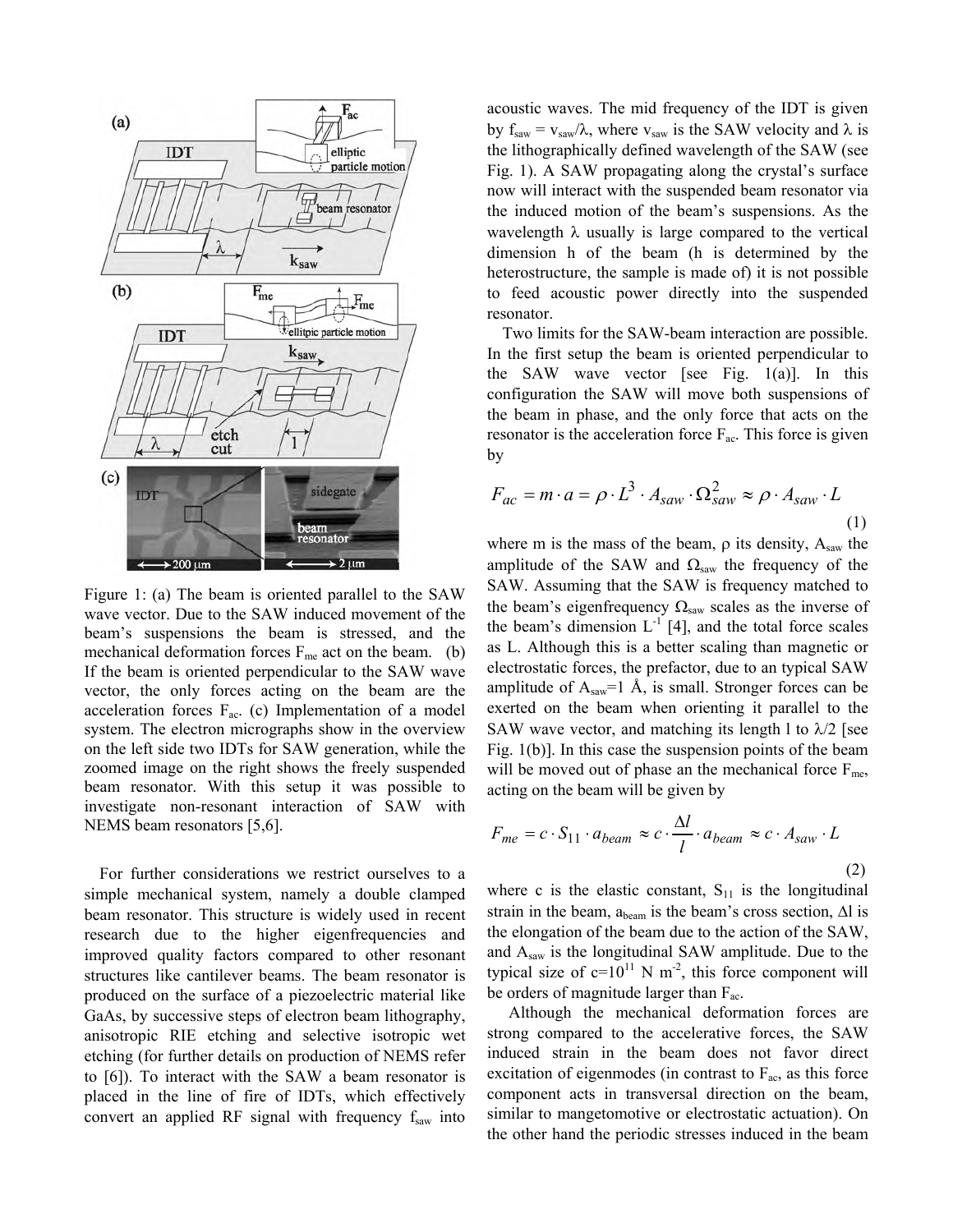

Figure 1: (a) The beam is oriented parallel to the SAW wave vector. Due to the SAW induced movement of the beam's suspensions the beam is stressed, and the mechanical deformation forces  $F_{me}$  act on the beam. (b) If the beam is oriented perpendicular to the SAW wave vector, the only forces acting on the beam are the acceleration forces  $F_{ac}$ . (c) Implementation of a model system. The electron micrographs show in the overview on the left side two IDTs for SAW generation, while the zoomed image on the right shows the freely suspended beam resonator. With this setup it was possible to investigate non-resonant interaction of SAW with NEMS beam resonators [5,6].

For further considerations we restrict ourselves to a simple mechanical system, namely a double clamped beam resonator. This structure is widely used in recent research due to the higher eigenfrequencies and improved quality factors compared to other resonant structures like cantilever beams. The beam resonator is produced on the surface of a piezoelectric material like GaAs, by successive steps of electron beam lithography, anisotropic RIE etching and selective isotropic wet etching (for further details on production of NEMS refer to [6]). To interact with the SAW a beam resonator is placed in the line of fire of IDTs, which effectively convert an applied RF signal with frequency  $f_{saw}$  into

acoustic waves. The mid frequency of the IDT is given by  $f_{saw} = v_{saw}/\lambda$ , where  $v_{saw}$  is the SAW velocity and  $\lambda$  is the lithographically defined wavelength of the SAW (see Fig. 1). A SAW propagating along the crystal's surface now will interact with the suspended beam resonator via the induced motion of the beam's suspensions. As the wavelength  $\lambda$  usually is large compared to the vertical dimension h of the beam (h is determined by the heterostructure, the sample is made of) it is not possible to feed acoustic power directly into the suspended resonator.

Two limits for the SAW-beam interaction are possible. In the first setup the beam is oriented perpendicular to the SAW wave vector [see Fig.  $1(a)$ ]. In this configuration the SAW will move both suspensions of the beam in phase, and the only force that acts on the resonator is the acceleration force  $F_{ac}$ . This force is given by

$$
F_{ac} = m \cdot a = \rho \cdot L^3 \cdot A_{saw} \cdot \Omega_{saw}^2 \approx \rho \cdot A_{saw} \cdot L
$$
\n(1)

where m is the mass of the beam,  $\rho$  its density,  $A_{saw}$  the amplitude of the SAW and  $\Omega_{\text{saw}}$  the frequency of the SAW. Assuming that the SAW is frequency matched to the beam's eigenfrequency  $\Omega_{\text{saw}}$  scales as the inverse of the beam's dimension  $L^{-1}$  [4], and the total force scales as L. Although this is a better scaling than magnetic or electrostatic forces, the prefactor, due to an typical SAW amplitude of  $A_{\text{saw}}=1$  Å, is small. Stronger forces can be exerted on the beam when orienting it parallel to the SAW wave vector, and matching its length 1 to  $\lambda/2$  [see Fig. 1(b)]. In this case the suspension points of the beam will be moved out of phase an the mechanical force  $F_{me}$ , acting on the beam will be given by

$$
F_{me} = c \cdot S_{11} \cdot a_{beam} \approx c \cdot \frac{\Delta l}{l} \cdot a_{beam} \approx c \cdot A_{saw} \cdot L
$$
\n(2)

where c is the elastic constant,  $S_{11}$  is the longitudinal strain in the beam,  $a_{\text{beam}}$  is the beam's cross section,  $\Delta l$  is the elongation of the beam due to the action of the SAW, and Asaw is the longitudinal SAW amplitude. Due to the typical size of  $c=10^{11}$  N m<sup>-2</sup>, this force component will be orders of magnitude larger than  $F_{ac}$ .

Although the mechanical deformation forces are strong compared to the accelerative forces, the SAW induced strain in the beam does not favor direct excitation of eigenmodes (in contrast to  $F_{ac}$ , as this force component acts in transversal direction on the beam, similar to mangetomotive or electrostatic actuation). On the other hand the periodic stresses induced in the beam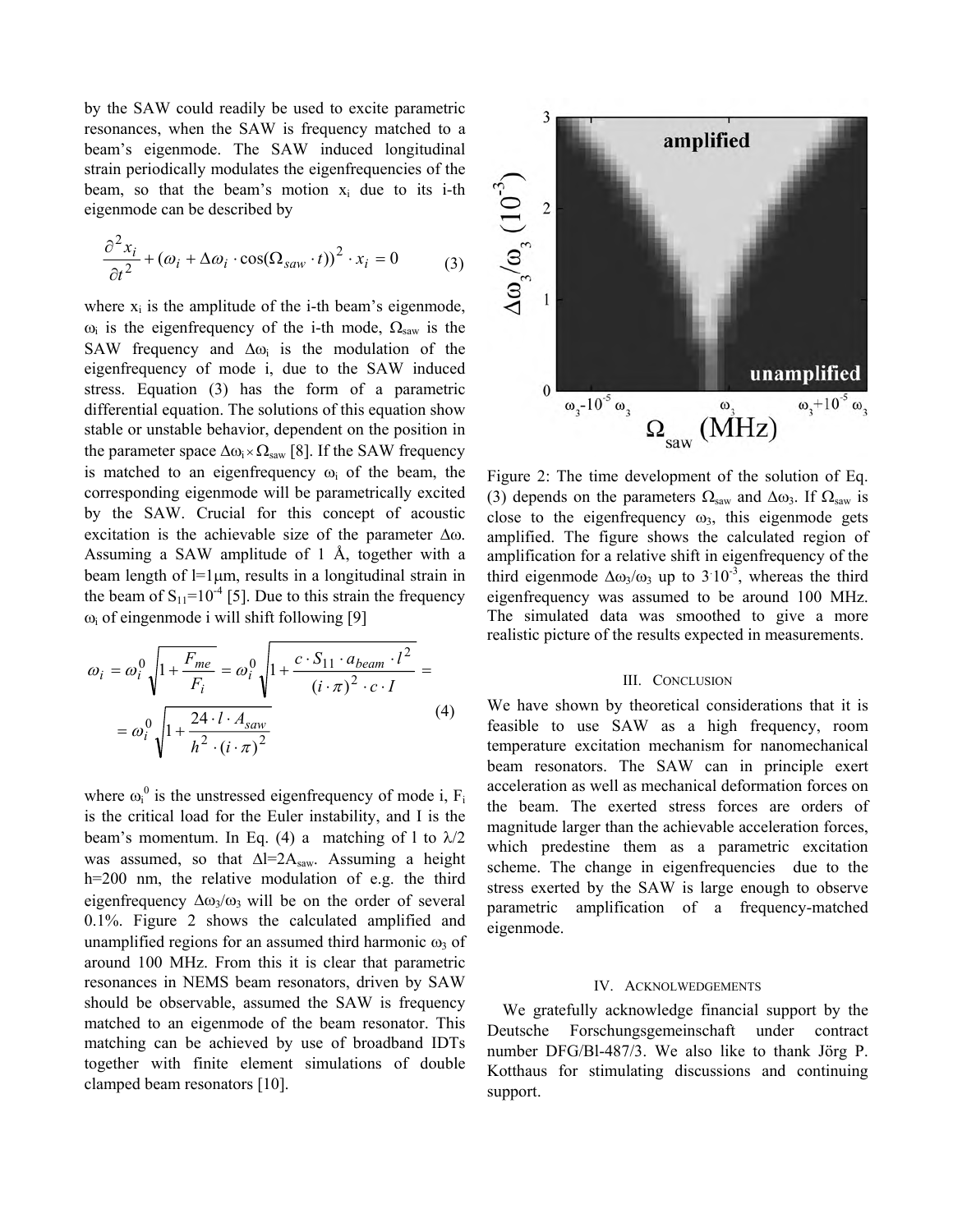by the SAW could readily be used to excite parametric resonances, when the SAW is frequency matched to a beam's eigenmode. The SAW induced longitudinal strain periodically modulates the eigenfrequencies of the beam, so that the beam's motion  $x_i$  due to its i-th eigenmode can be described by

$$
\frac{\partial^2 x_i}{\partial t^2} + (\omega_i + \Delta \omega_i \cdot \cos(\Omega_{saw} \cdot t))^2 \cdot x_i = 0 \tag{3}
$$

where  $x_i$  is the amplitude of the i-th beam's eigenmode,  $\omega_i$  is the eigenfrequency of the i-th mode,  $\Omega_{\text{saw}}$  is the SAW frequency and  $\Delta \omega_i$  is the modulation of the eigenfrequency of mode i, due to the SAW induced stress. Equation (3) has the form of a parametric differential equation. The solutions of this equation show stable or unstable behavior, dependent on the position in the parameter space  $\Delta \omega_i \times \Omega_{\text{saw}}$  [8]. If the SAW frequency is matched to an eigenfrequency  $\omega_i$  of the beam, the corresponding eigenmode will be parametrically excited by the SAW. Crucial for this concept of acoustic excitation is the achievable size of the parameter  $\Delta\omega$ . Assuming a SAW amplitude of 1 Å, together with a beam length of  $l=1 \mu m$ , results in a longitudinal strain in the beam of  $S_{11}$ =10<sup>-4</sup> [5]. Due to this strain the frequency  $\omega_i$  of eingenmode i will shift following [9]

$$
\omega_{i} = \omega_{i}^{0} \sqrt{1 + \frac{F_{me}}{F_{i}}} = \omega_{i}^{0} \sqrt{1 + \frac{c \cdot S_{11} \cdot a_{beam} \cdot l^{2}}{(i \cdot \pi)^{2} \cdot c \cdot I}} = \omega_{i}^{0} \sqrt{1 + \frac{24 \cdot l \cdot A_{saw}}{h^{2} \cdot (i \cdot \pi)^{2}}}
$$
(4)

where  $\omega_i^0$  is the unstressed eigenfrequency of mode i,  $F_i$ is the critical load for the Euler instability, and I is the beam's momentum. In Eq. (4) a matching of 1 to  $\lambda/2$ was assumed, so that  $\Delta l=2A_{\text{saw}}$ . Assuming a height h=200 nm, the relative modulation of e.g. the third eigenfrequency  $\Delta \omega_3/\omega_3$  will be on the order of several 0.1%. Figure 2 shows the calculated amplified and unamplified regions for an assumed third harmonic  $\omega_3$  of around 100 MHz. From this it is clear that parametric resonances in NEMS beam resonators, driven by SAW should be observable, assumed the SAW is frequency matched to an eigenmode of the beam resonator. This matching can be achieved by use of broadband IDTs together with finite element simulations of double clamped beam resonators [10].



Figure 2: The time development of the solution of Eq. (3) depends on the parameters  $\Omega_{\text{saw}}$  and  $\Delta \omega_{3}$ . If  $\Omega_{\text{saw}}$  is close to the eigenfrequency  $\omega_3$ , this eigenmode gets amplified. The figure shows the calculated region of amplification for a relative shift in eigenfrequency of the third eigenmode  $\Delta \omega_3 / \omega_3$  up to 3 10<sup>-3</sup>, whereas the third eigenfrequency was assumed to be around 100 MHz. The simulated data was smoothed to give a more realistic picture of the results expected in measurements.

#### III. CONCLUSION

We have shown by theoretical considerations that it is feasible to use SAW as a high frequency, room temperature excitation mechanism for nanomechanical beam resonators. The SAW can in principle exert acceleration as well as mechanical deformation forces on the beam. The exerted stress forces are orders of magnitude larger than the achievable acceleration forces, which predestine them as a parametric excitation scheme. The change in eigenfrequencies due to the stress exerted by the SAW is large enough to observe parametric amplification of a frequency-matched eigenmode.

### IV. ACKNOLWEDGEMENTS

We gratefully acknowledge financial support by the Deutsche Forschungsgemeinschaft under contract number DFG/Bl-487/3. We also like to thank Jörg P. Kotthaus for stimulating discussions and continuing support.